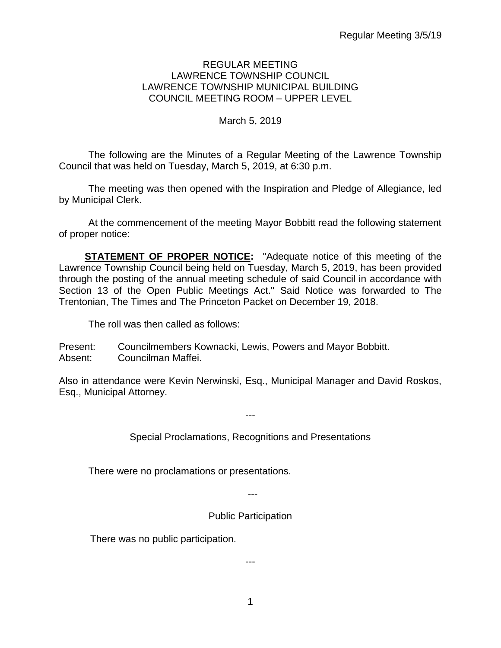#### REGULAR MEETING LAWRENCE TOWNSHIP COUNCIL LAWRENCE TOWNSHIP MUNICIPAL BUILDING COUNCIL MEETING ROOM – UPPER LEVEL

## March 5, 2019

The following are the Minutes of a Regular Meeting of the Lawrence Township Council that was held on Tuesday, March 5, 2019, at 6:30 p.m.

The meeting was then opened with the Inspiration and Pledge of Allegiance, led by Municipal Clerk.

At the commencement of the meeting Mayor Bobbitt read the following statement of proper notice:

**STATEMENT OF PROPER NOTICE:** "Adequate notice of this meeting of the Lawrence Township Council being held on Tuesday, March 5, 2019, has been provided through the posting of the annual meeting schedule of said Council in accordance with Section 13 of the Open Public Meetings Act." Said Notice was forwarded to The Trentonian, The Times and The Princeton Packet on December 19, 2018.

The roll was then called as follows:

Present: Councilmembers Kownacki, Lewis, Powers and Mayor Bobbitt. Absent: Councilman Maffei.

Also in attendance were Kevin Nerwinski, Esq., Municipal Manager and David Roskos, Esq., Municipal Attorney.

Special Proclamations, Recognitions and Presentations

---

There were no proclamations or presentations.

---

Public Participation

There was no public participation.

---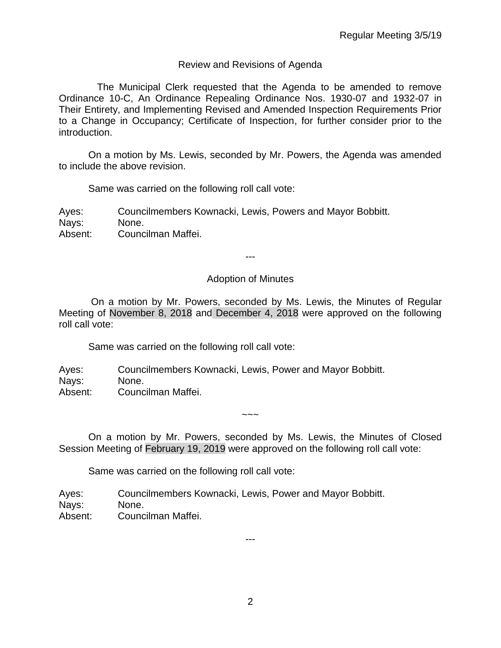## Review and Revisions of Agenda

 The Municipal Clerk requested that the Agenda to be amended to remove Ordinance 10-C, An Ordinance Repealing Ordinance Nos. 1930-07 and 1932-07 in Their Entirety, and Implementing Revised and Amended Inspection Requirements Prior to a Change in Occupancy; Certificate of Inspection, for further consider prior to the introduction.

On a motion by Ms. Lewis, seconded by Mr. Powers, the Agenda was amended to include the above revision.

Same was carried on the following roll call vote:

Ayes: Councilmembers Kownacki, Lewis, Powers and Mayor Bobbitt. Nays: None. Absent: Councilman Maffei.

---

### Adoption of Minutes

On a motion by Mr. Powers, seconded by Ms. Lewis, the Minutes of Regular Meeting of November 8, 2018 and December 4, 2018 were approved on the following roll call vote:

Same was carried on the following roll call vote:

Ayes: Councilmembers Kownacki, Lewis, Power and Mayor Bobbitt. Nays: None. Absent: Councilman Maffei.

On a motion by Mr. Powers, seconded by Ms. Lewis, the Minutes of Closed Session Meeting of February 19, 2019 were approved on the following roll call vote:

 $\sim\sim\sim$ 

Same was carried on the following roll call vote:

Ayes: Councilmembers Kownacki, Lewis, Power and Mayor Bobbitt. Nays: None. Absent: Councilman Maffei.

---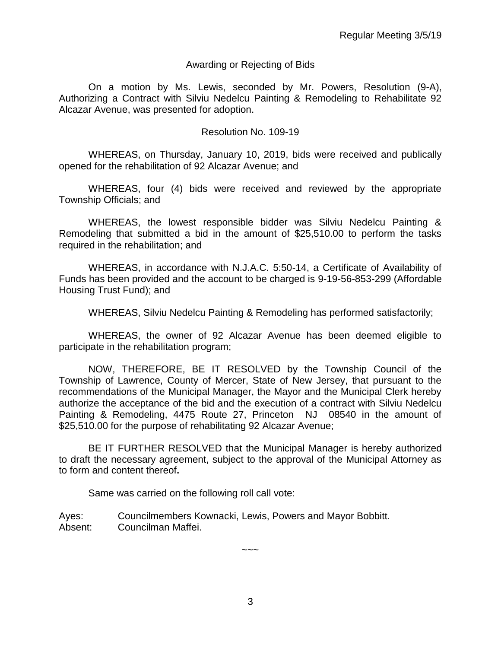#### Awarding or Rejecting of Bids

On a motion by Ms. Lewis, seconded by Mr. Powers, Resolution (9-A), Authorizing a Contract with Silviu Nedelcu Painting & Remodeling to Rehabilitate 92 Alcazar Avenue, was presented for adoption.

#### Resolution No. 109-19

WHEREAS, on Thursday, January 10, 2019, bids were received and publically opened for the rehabilitation of 92 Alcazar Avenue; and

WHEREAS, four (4) bids were received and reviewed by the appropriate Township Officials; and

WHEREAS, the lowest responsible bidder was Silviu Nedelcu Painting & Remodeling that submitted a bid in the amount of \$25,510.00 to perform the tasks required in the rehabilitation; and

WHEREAS, in accordance with N.J.A.C. 5:50-14, a Certificate of Availability of Funds has been provided and the account to be charged is 9-19-56-853-299 (Affordable Housing Trust Fund); and

WHEREAS, Silviu Nedelcu Painting & Remodeling has performed satisfactorily;

WHEREAS, the owner of 92 Alcazar Avenue has been deemed eligible to participate in the rehabilitation program;

NOW, THEREFORE, BE IT RESOLVED by the Township Council of the Township of Lawrence, County of Mercer, State of New Jersey, that pursuant to the recommendations of the Municipal Manager, the Mayor and the Municipal Clerk hereby authorize the acceptance of the bid and the execution of a contract with Silviu Nedelcu Painting & Remodeling, 4475 Route 27, Princeton NJ 08540 in the amount of \$25,510.00 for the purpose of rehabilitating 92 Alcazar Avenue;

BE IT FURTHER RESOLVED that the Municipal Manager is hereby authorized to draft the necessary agreement, subject to the approval of the Municipal Attorney as to form and content thereof.

Same was carried on the following roll call vote:

Ayes: Councilmembers Kownacki, Lewis, Powers and Mayor Bobbitt. Absent: Councilman Maffei.

 $\sim\sim\sim$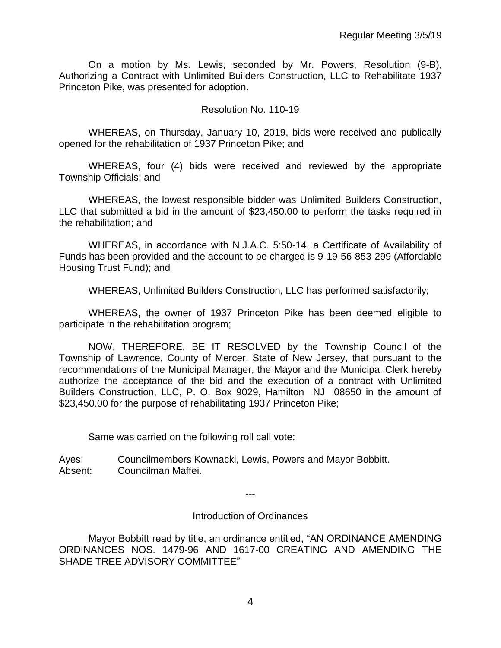On a motion by Ms. Lewis, seconded by Mr. Powers, Resolution (9-B), Authorizing a Contract with Unlimited Builders Construction, LLC to Rehabilitate 1937 Princeton Pike, was presented for adoption.

#### Resolution No. 110-19

WHEREAS, on Thursday, January 10, 2019, bids were received and publically opened for the rehabilitation of 1937 Princeton Pike; and

WHEREAS, four (4) bids were received and reviewed by the appropriate Township Officials; and

WHEREAS, the lowest responsible bidder was Unlimited Builders Construction, LLC that submitted a bid in the amount of \$23,450.00 to perform the tasks required in the rehabilitation; and

WHEREAS, in accordance with N.J.A.C. 5:50-14, a Certificate of Availability of Funds has been provided and the account to be charged is 9-19-56-853-299 (Affordable Housing Trust Fund); and

WHEREAS, Unlimited Builders Construction, LLC has performed satisfactorily;

WHEREAS, the owner of 1937 Princeton Pike has been deemed eligible to participate in the rehabilitation program;

NOW, THEREFORE, BE IT RESOLVED by the Township Council of the Township of Lawrence, County of Mercer, State of New Jersey, that pursuant to the recommendations of the Municipal Manager, the Mayor and the Municipal Clerk hereby authorize the acceptance of the bid and the execution of a contract with Unlimited Builders Construction, LLC, P. O. Box 9029, Hamilton NJ 08650 in the amount of \$23,450.00 for the purpose of rehabilitating 1937 Princeton Pike;

Same was carried on the following roll call vote:

Ayes: Councilmembers Kownacki, Lewis, Powers and Mayor Bobbitt. Absent: Councilman Maffei.

---

Introduction of Ordinances

Mayor Bobbitt read by title, an ordinance entitled, "AN ORDINANCE AMENDING ORDINANCES NOS. 1479-96 AND 1617-00 CREATING AND AMENDING THE SHADE TREE ADVISORY COMMITTEE"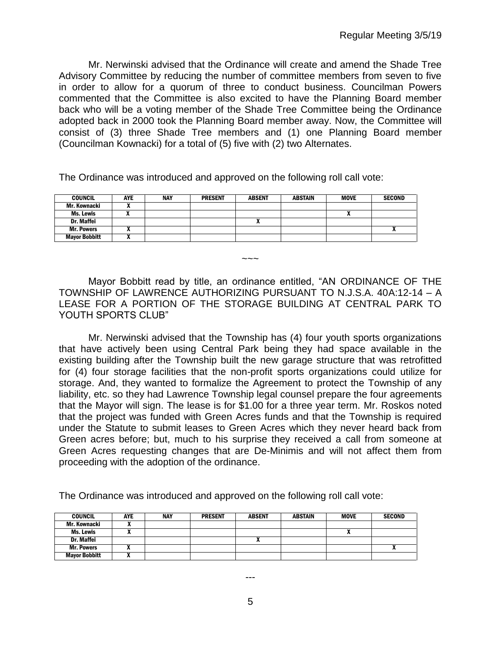Mr. Nerwinski advised that the Ordinance will create and amend the Shade Tree Advisory Committee by reducing the number of committee members from seven to five in order to allow for a quorum of three to conduct business. Councilman Powers commented that the Committee is also excited to have the Planning Board member back who will be a voting member of the Shade Tree Committee being the Ordinance adopted back in 2000 took the Planning Board member away. Now, the Committee will consist of (3) three Shade Tree members and (1) one Planning Board member (Councilman Kownacki) for a total of (5) five with (2) two Alternates.

The Ordinance was introduced and approved on the following roll call vote:

| <b>COUNCIL</b>       | <b>AYE</b> | <b>NAY</b> | <b>PRESENT</b> | <b>ABSENT</b> | <b>ABSTAIN</b> | <b>MOVE</b> | <b>SECOND</b> |
|----------------------|------------|------------|----------------|---------------|----------------|-------------|---------------|
| Mr. Kownacki         |            |            |                |               |                |             |               |
| Ms. Lewis            |            |            |                |               |                |             |               |
| Dr. Maffei           |            |            |                |               |                |             |               |
| <b>Mr. Powers</b>    |            |            |                |               |                |             |               |
| <b>Mayor Bobbitt</b> | ,,         |            |                |               |                |             |               |

Mayor Bobbitt read by title, an ordinance entitled, "AN ORDINANCE OF THE TOWNSHIP OF LAWRENCE AUTHORIZING PURSUANT TO N.J.S.A. 40A:12-14 – A LEASE FOR A PORTION OF THE STORAGE BUILDING AT CENTRAL PARK TO YOUTH SPORTS CLUB"

 $\sim\sim\sim$ 

Mr. Nerwinski advised that the Township has (4) four youth sports organizations that have actively been using Central Park being they had space available in the existing building after the Township built the new garage structure that was retrofitted for (4) four storage facilities that the non-profit sports organizations could utilize for storage. And, they wanted to formalize the Agreement to protect the Township of any liability, etc. so they had Lawrence Township legal counsel prepare the four agreements that the Mayor will sign. The lease is for \$1.00 for a three year term. Mr. Roskos noted that the project was funded with Green Acres funds and that the Township is required under the Statute to submit leases to Green Acres which they never heard back from Green acres before; but, much to his surprise they received a call from someone at Green Acres requesting changes that are De-Minimis and will not affect them from proceeding with the adoption of the ordinance.

The Ordinance was introduced and approved on the following roll call vote:

| <b>COUNCIL</b>       | <b>AYE</b> | <b>NAY</b> | <b>PRESENT</b> | <b>ABSENT</b> | ABSTAIN | <b>MOVE</b> | <b>SECOND</b> |
|----------------------|------------|------------|----------------|---------------|---------|-------------|---------------|
| Mr. Kownacki         |            |            |                |               |         |             |               |
| Ms. Lewis            | "          |            |                |               |         |             |               |
| <b>Dr. Maffei</b>    |            |            |                |               |         |             |               |
| <b>Mr. Powers</b>    |            |            |                |               |         |             |               |
| <b>Mavor Bobbitt</b> |            |            |                |               |         |             |               |

---

5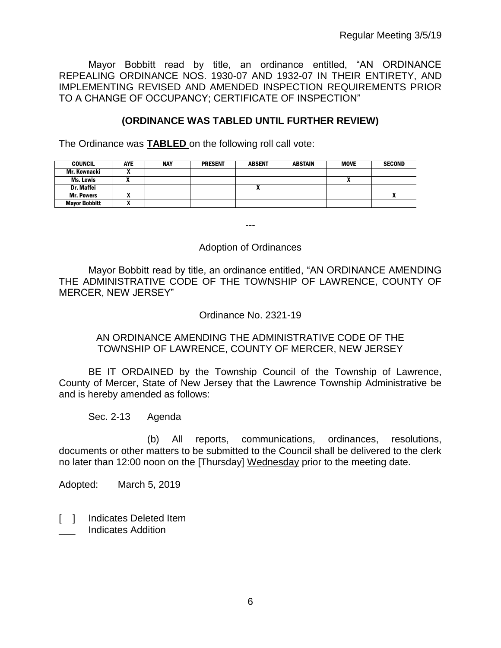Mayor Bobbitt read by title, an ordinance entitled, "AN ORDINANCE REPEALING ORDINANCE NOS. 1930-07 AND 1932-07 IN THEIR ENTIRETY, AND IMPLEMENTING REVISED AND AMENDED INSPECTION REQUIREMENTS PRIOR TO A CHANGE OF OCCUPANCY; CERTIFICATE OF INSPECTION"

## **(ORDINANCE WAS TABLED UNTIL FURTHER REVIEW)**

The Ordinance was **TABLED** on the following roll call vote:

| <b>COUNCIL</b>       | <b>AYE</b> | <b>NAY</b> | <b>PRESENT</b> | <b>ABSENT</b> | ABSTAIN | <b>MOVE</b> | <b>SECOND</b> |
|----------------------|------------|------------|----------------|---------------|---------|-------------|---------------|
| Mr. Kownacki         |            |            |                |               |         |             |               |
| Ms. Lewis            |            |            |                |               |         |             |               |
| <b>Dr. Maffei</b>    |            |            |                | ^             |         |             |               |
| <b>Mr. Powers</b>    |            |            |                |               |         |             |               |
| <b>Mayor Bobbitt</b> | . .        |            |                |               |         |             |               |

---

#### Adoption of Ordinances

Mayor Bobbitt read by title, an ordinance entitled, "AN ORDINANCE AMENDING THE ADMINISTRATIVE CODE OF THE TOWNSHIP OF LAWRENCE, COUNTY OF MERCER, NEW JERSEY"

### Ordinance No. 2321-19

### AN ORDINANCE AMENDING THE ADMINISTRATIVE CODE OF THE TOWNSHIP OF LAWRENCE, COUNTY OF MERCER, NEW JERSEY

BE IT ORDAINED by the Township Council of the Township of Lawrence, County of Mercer, State of New Jersey that the Lawrence Township Administrative be and is hereby amended as follows:

Sec. 2-13 Agenda

(b) All reports, communications, ordinances, resolutions, documents or other matters to be submitted to the Council shall be delivered to the clerk no later than 12:00 noon on the [Thursday] Wednesday prior to the meeting date.

Adopted: March 5, 2019

[ ] Indicates Deleted Item \_\_\_ Indicates Addition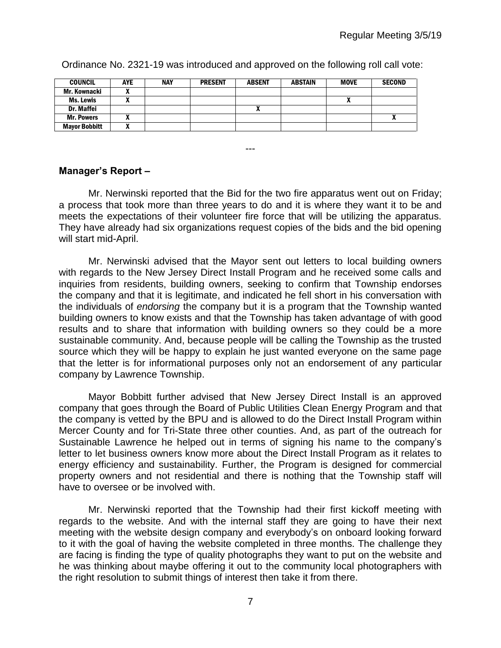| <b>COUNCIL</b>       | AYE | <b>NAY</b> | <b>PRESENT</b> | <b>ABSENT</b> | <b>ABSTAIN</b> | <b>MOVE</b> | <b>SECOND</b> |
|----------------------|-----|------------|----------------|---------------|----------------|-------------|---------------|
| Mr. Kownacki         |     |            |                |               |                |             |               |
| Ms. Lewis            |     |            |                |               |                |             |               |
| Dr. Maffei           |     |            |                |               |                |             |               |
| <b>Mr. Powers</b>    |     |            |                |               |                |             |               |
| <b>Mayor Bobbitt</b> |     |            |                |               |                |             |               |

Ordinance No. 2321-19 was introduced and approved on the following roll call vote:

### **Manager's Report –**

Mr. Nerwinski reported that the Bid for the two fire apparatus went out on Friday; a process that took more than three years to do and it is where they want it to be and meets the expectations of their volunteer fire force that will be utilizing the apparatus. They have already had six organizations request copies of the bids and the bid opening will start mid-April.

---

Mr. Nerwinski advised that the Mayor sent out letters to local building owners with regards to the New Jersey Direct Install Program and he received some calls and inquiries from residents, building owners, seeking to confirm that Township endorses the company and that it is legitimate, and indicated he fell short in his conversation with the individuals of *endorsing* the company but it is a program that the Township wanted building owners to know exists and that the Township has taken advantage of with good results and to share that information with building owners so they could be a more sustainable community. And, because people will be calling the Township as the trusted source which they will be happy to explain he just wanted everyone on the same page that the letter is for informational purposes only not an endorsement of any particular company by Lawrence Township.

Mayor Bobbitt further advised that New Jersey Direct Install is an approved company that goes through the Board of Public Utilities Clean Energy Program and that the company is vetted by the BPU and is allowed to do the Direct Install Program within Mercer County and for Tri-State three other counties. And, as part of the outreach for Sustainable Lawrence he helped out in terms of signing his name to the company's letter to let business owners know more about the Direct Install Program as it relates to energy efficiency and sustainability. Further, the Program is designed for commercial property owners and not residential and there is nothing that the Township staff will have to oversee or be involved with.

Mr. Nerwinski reported that the Township had their first kickoff meeting with regards to the website. And with the internal staff they are going to have their next meeting with the website design company and everybody's on onboard looking forward to it with the goal of having the website completed in three months. The challenge they are facing is finding the type of quality photographs they want to put on the website and he was thinking about maybe offering it out to the community local photographers with the right resolution to submit things of interest then take it from there.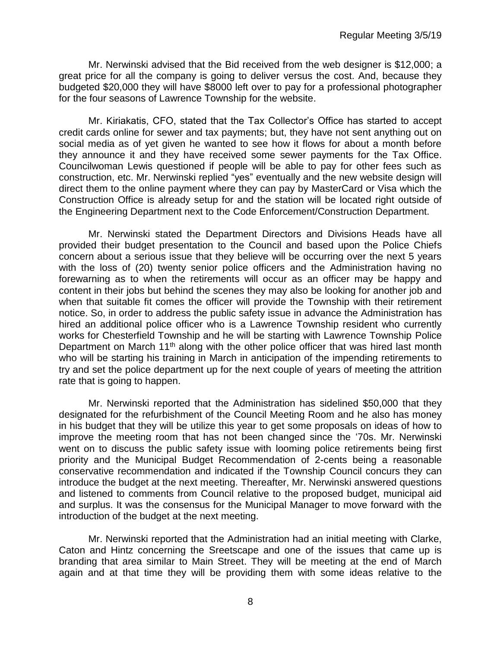Mr. Nerwinski advised that the Bid received from the web designer is \$12,000; a great price for all the company is going to deliver versus the cost. And, because they budgeted \$20,000 they will have \$8000 left over to pay for a professional photographer for the four seasons of Lawrence Township for the website.

Mr. Kiriakatis, CFO, stated that the Tax Collector's Office has started to accept credit cards online for sewer and tax payments; but, they have not sent anything out on social media as of yet given he wanted to see how it flows for about a month before they announce it and they have received some sewer payments for the Tax Office. Councilwoman Lewis questioned if people will be able to pay for other fees such as construction, etc. Mr. Nerwinski replied "yes" eventually and the new website design will direct them to the online payment where they can pay by MasterCard or Visa which the Construction Office is already setup for and the station will be located right outside of the Engineering Department next to the Code Enforcement/Construction Department.

Mr. Nerwinski stated the Department Directors and Divisions Heads have all provided their budget presentation to the Council and based upon the Police Chiefs concern about a serious issue that they believe will be occurring over the next 5 years with the loss of (20) twenty senior police officers and the Administration having no forewarning as to when the retirements will occur as an officer may be happy and content in their jobs but behind the scenes they may also be looking for another job and when that suitable fit comes the officer will provide the Township with their retirement notice. So, in order to address the public safety issue in advance the Administration has hired an additional police officer who is a Lawrence Township resident who currently works for Chesterfield Township and he will be starting with Lawrence Township Police Department on March 11<sup>th</sup> along with the other police officer that was hired last month who will be starting his training in March in anticipation of the impending retirements to try and set the police department up for the next couple of years of meeting the attrition rate that is going to happen.

Mr. Nerwinski reported that the Administration has sidelined \$50,000 that they designated for the refurbishment of the Council Meeting Room and he also has money in his budget that they will be utilize this year to get some proposals on ideas of how to improve the meeting room that has not been changed since the '70s. Mr. Nerwinski went on to discuss the public safety issue with looming police retirements being first priority and the Municipal Budget Recommendation of 2-cents being a reasonable conservative recommendation and indicated if the Township Council concurs they can introduce the budget at the next meeting. Thereafter, Mr. Nerwinski answered questions and listened to comments from Council relative to the proposed budget, municipal aid and surplus. It was the consensus for the Municipal Manager to move forward with the introduction of the budget at the next meeting.

Mr. Nerwinski reported that the Administration had an initial meeting with Clarke, Caton and Hintz concerning the Sreetscape and one of the issues that came up is branding that area similar to Main Street. They will be meeting at the end of March again and at that time they will be providing them with some ideas relative to the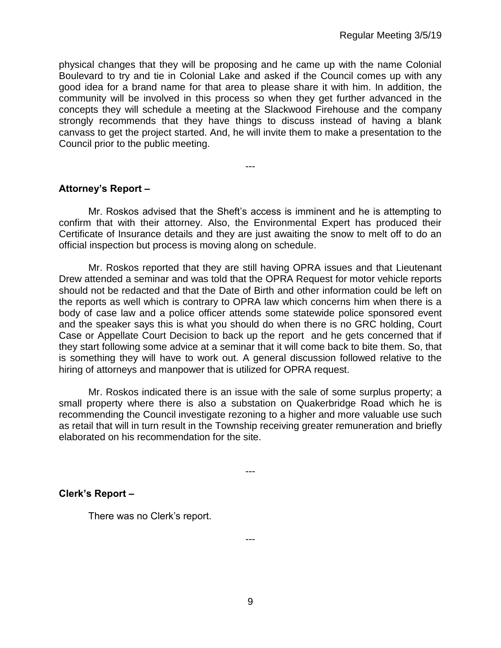physical changes that they will be proposing and he came up with the name Colonial Boulevard to try and tie in Colonial Lake and asked if the Council comes up with any good idea for a brand name for that area to please share it with him. In addition, the community will be involved in this process so when they get further advanced in the concepts they will schedule a meeting at the Slackwood Firehouse and the company strongly recommends that they have things to discuss instead of having a blank canvass to get the project started. And, he will invite them to make a presentation to the Council prior to the public meeting.

**Attorney's Report –**

Mr. Roskos advised that the Sheft's access is imminent and he is attempting to confirm that with their attorney. Also, the Environmental Expert has produced their Certificate of Insurance details and they are just awaiting the snow to melt off to do an official inspection but process is moving along on schedule.

---

Mr. Roskos reported that they are still having OPRA issues and that Lieutenant Drew attended a seminar and was told that the OPRA Request for motor vehicle reports should not be redacted and that the Date of Birth and other information could be left on the reports as well which is contrary to OPRA law which concerns him when there is a body of case law and a police officer attends some statewide police sponsored event and the speaker says this is what you should do when there is no GRC holding, Court Case or Appellate Court Decision to back up the report and he gets concerned that if they start following some advice at a seminar that it will come back to bite them. So, that is something they will have to work out. A general discussion followed relative to the hiring of attorneys and manpower that is utilized for OPRA request.

Mr. Roskos indicated there is an issue with the sale of some surplus property; a small property where there is also a substation on Quakerbridge Road which he is recommending the Council investigate rezoning to a higher and more valuable use such as retail that will in turn result in the Township receiving greater remuneration and briefly elaborated on his recommendation for the site.

---

**Clerk's Report –** 

There was no Clerk's report.

9

---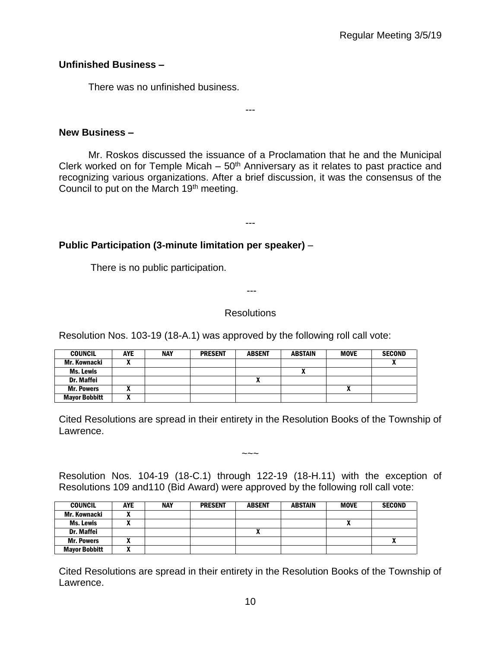## **Unfinished Business –**

There was no unfinished business.

**New Business –** 

Mr. Roskos discussed the issuance of a Proclamation that he and the Municipal Clerk worked on for Temple Micah –  $50<sup>th</sup>$  Anniversary as it relates to past practice and recognizing various organizations. After a brief discussion, it was the consensus of the Council to put on the March 19<sup>th</sup> meeting.

---

---

# **Public Participation (3-minute limitation per speaker)** –

There is no public participation.

---

## Resolutions

Resolution Nos. 103-19 (18-A.1) was approved by the following roll call vote:

| <b>COUNCIL</b>       | <b>AYE</b> | <b>NAY</b> | <b>PRESENT</b> | <b>ABSENT</b> | <b>ABSTAIN</b> | <b>MOVE</b> | <b>SECOND</b> |
|----------------------|------------|------------|----------------|---------------|----------------|-------------|---------------|
| Mr. Kownacki         |            |            |                |               |                |             |               |
| Ms. Lewis            |            |            |                |               |                |             |               |
| Dr. Maffei           |            |            |                | Λ             |                |             |               |
| <b>Mr. Powers</b>    |            |            |                |               |                | Δ           |               |
| <b>Mayor Bobbitt</b> |            |            |                |               |                |             |               |

Cited Resolutions are spread in their entirety in the Resolution Books of the Township of Lawrence.

 $\sim\sim\sim$ 

Resolution Nos. 104-19 (18-C.1) through 122-19 (18-H.11) with the exception of Resolutions 109 and110 (Bid Award) were approved by the following roll call vote:

| <b>COUNCIL</b>       | <b>AYE</b> | <b>NAY</b> | <b>PRESENT</b> | <b>ABSENT</b> | <b>ABSTAIN</b> | <b>MOVE</b> | <b>SECOND</b> |
|----------------------|------------|------------|----------------|---------------|----------------|-------------|---------------|
| Mr. Kownacki         | л          |            |                |               |                |             |               |
| Ms. Lewis            | л          |            |                |               |                | n           |               |
| Dr. Maffei           |            |            |                |               |                |             |               |
| <b>Mr. Powers</b>    | 灬          |            |                |               |                |             |               |
| <b>Mayor Bobbitt</b> |            |            |                |               |                |             |               |

Cited Resolutions are spread in their entirety in the Resolution Books of the Township of Lawrence.